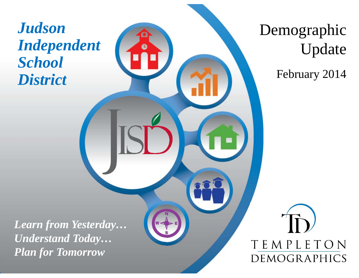# *Judson Independent School District*

Demographic Update

February 2014

*Learn from Yesterday… Understand Today… Plan for Tomorrow*

TEMPLETON DEMOGRAPHICS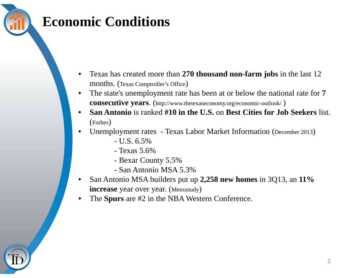#### **Economic Conditions**

- • Texas has created more than **270 thousand non-farm jobs** in the last 12 months. (Texas Comptroller's Office )
- $\bullet$  The state's unemployment rate has been at or below the national rate for **7 consecutive years**. (http://www.thetexaseconomy.org/economic-outlook/ )
- • **San Antonio** is ranked **#10 in the U.S.** on **Best Cities for Job Seekers** list. (Forbes )
- •• Unemployment rates - Texas Labor Market Information (December 2013)
	- U.S. 6.5%
	- Texas 5.6%
	- Bexar County 5.5%
	- San Antonio MSA 5.3%
- • San Antonio MSA builders put up **2,258 new homes** in 3Q13, an **11% increase** year over year. (Metrostudy )
- •The **Spurs** are #2 in the NBA Western Conference.

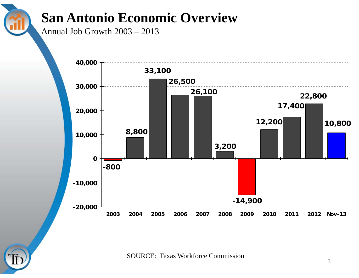### **San Antonio Economic Overview**

Annual Job Growth 2003 – 2013



SOURCE: Texas Workforce Commission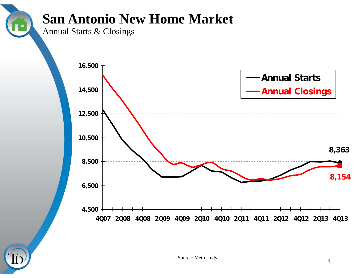### **San Antonio New Home Market**

Annual Starts & Closings

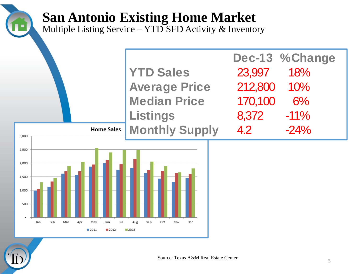#### **San Antonio Existing Home Market**

Multiple Listing Service – YTD SFD Activity & Inventory



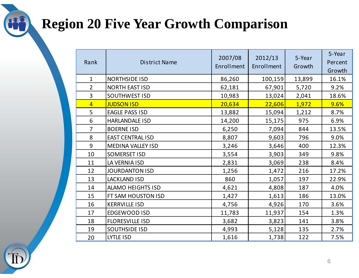### **Region 20 Five Year Growth Comparison**

| Rank           | <b>District Name</b>     | 2007/08<br>Enrollment | 2012/13<br>Enrollment | 5-Year<br>Growth | 5-Year<br>Percent<br>Growth |
|----------------|--------------------------|-----------------------|-----------------------|------------------|-----------------------------|
| $\mathbf{1}$   | <b>NORTHSIDE ISD</b>     | 86,260                | 100, 159              | 13,899           | 16.1%                       |
| $\overline{2}$ | NORTH EAST ISD           | 62,181                | 67,901                | 5,720            | 9.2%                        |
| $\overline{3}$ | SOUTHWEST ISD            | 10,983                | 13,024                | 2,041            | 18.6%                       |
| $\overline{4}$ | <b>JUDSON ISD</b>        | 20,634                | 22,606                | 1,972            | 9.6%                        |
| 5              | <b>EAGLE PASS ISD</b>    | 13,882                | 15,094                | 1,212            | 8.7%                        |
| 6              | <b>HARLANDALE ISD</b>    | 14,200                | 15,175                | 975              | 6.9%                        |
| $\overline{7}$ | <b>BOERNE ISD</b>        | 6,250                 | 7,094                 | 844              | 13.5%                       |
| 8              | <b>EAST CENTRAL ISD</b>  | 8,807                 | 9,603                 | 796              | 9.0%                        |
| 9              | MEDINA VALLEY ISD        | 3,246                 | 3,646                 | 400              | 12.3%                       |
| 10             | <b>SOMERSET ISD</b>      | 3,554                 | 3,903                 | 349              | 9.8%                        |
| 11             | LA VERNIA ISD            | 2,831                 | 3,069                 | 238              | 8.4%                        |
| 12             | <b>JOURDANTON ISD</b>    | 1,256                 | 1,472                 | 216              | 17.2%                       |
| 13             | <b>LACKLAND ISD</b>      | 860                   | 1,057                 | 197              | 22.9%                       |
| 14             | <b>ALAMO HEIGHTS ISD</b> | 4,621                 | 4,808                 | 187              | 4.0%                        |
| 15             | FT SAM HOUSTON ISD       | 1,427                 | 1,613                 | 186              | 13.0%                       |
| 16             | <b>KERRVILLE ISD</b>     | 4,756                 | 4,926                 | 170              | 3.6%                        |
| 17             | EDGEWOOD ISD             | 11,783                | 11,937                | 154              | 1.3%                        |
| 18             | <b>FLORESVILLE ISD</b>   | 3,682                 | 3,823                 | 141              | 3.8%                        |
| 19             | <b>SOUTHSIDE ISD</b>     | 4,993                 | 5,128                 | 135              | 2.7%                        |
| 20             | LYTLE ISD                | 1,616                 | 1,738                 | 122              | 7.5%                        |

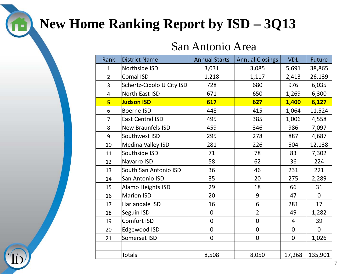# **New Home Ranking Report by ISD – 3Q13**

#### San Antonio Area

| Rank           | District Name             | <b>Annual Starts</b> | <b>Annual Closings</b> | <b>VDL</b>     | Future         |
|----------------|---------------------------|----------------------|------------------------|----------------|----------------|
| $\mathbf{1}$   | Northside ISD             | 3,031                | 3,085                  | 5,691          | 38,865         |
| $\overline{2}$ | <b>Comal ISD</b>          | 1,218                | 1,117                  | 2,413          | 26,139         |
| $\overline{3}$ | Schertz-Cibolo U City ISD | 728                  | 680                    | 976            | 6,035          |
| $\overline{4}$ | North East ISD            | 671                  | 650                    | 1,269          | 6,300          |
| 5 <sup>1</sup> | <b>Judson ISD</b>         | 617                  | 627                    | 1,400          | 6,127          |
| 6              | <b>Boerne ISD</b>         | 448                  | 415                    | 1,064          | 11,524         |
| $\overline{7}$ | <b>East Central ISD</b>   | 495                  | 385                    | 1,006          | 4,558          |
| 8              | New Braunfels ISD         | 459                  | 346                    | 986            | 7,097          |
| 9              | Southwest ISD             | 295                  | 278                    | 887            | 4,687          |
| 10             | Medina Valley ISD         | 281                  | 226                    | 504            | 12,138         |
| 11             | Southside ISD             | 71                   | 78                     | 83             | 7,302          |
| 12             | Navarro ISD               | 58                   | 62                     | 36             | 224            |
| 13             | South San Antonio ISD     | 36                   | 46                     | 231            | 221            |
| 14             | San Antonio ISD           | 35                   | 20                     | 275            | 2,289          |
| 15             | Alamo Heights ISD         | 29                   | 18                     | 66             | 31             |
| 16             | Marion ISD                | 20                   | 9                      | 47             | $\overline{0}$ |
| 17             | Harlandale ISD            | 16                   | 6                      | 281            | 17             |
| 18             | Seguin ISD                | $\mathbf 0$          | $\overline{2}$         | 49             | 1,282          |
| 19             | Comfort ISD               | $\overline{0}$       | $\overline{0}$         | $\overline{4}$ | 39             |
| 20             | Edgewood ISD              | $\overline{0}$       | $\mathbf 0$            | $\mathbf 0$    | $\overline{0}$ |
| 21             | Somerset ISD              | $\mathbf 0$          | $\mathbf 0$            | $\overline{0}$ | 1,026          |
|                |                           |                      |                        |                |                |
|                | <b>Totals</b>             | 8,508                | 8,050                  | 17,268         | 135,901        |

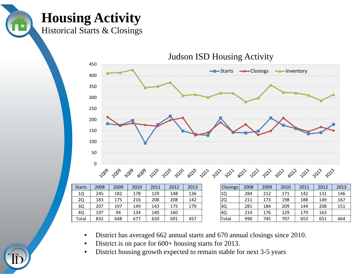**Housing Activity**

Historical Starts & Closings



- •District has averaged 662 annual starts and 670 annual closings since 2010.
- •District is on pace for 600+ housing starts for 2013.
- •District housing growth expected to remain stable for next 3-5 years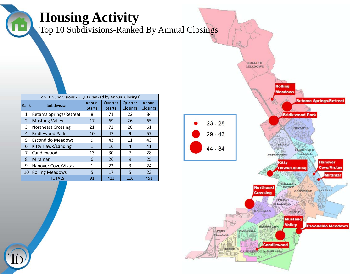#### **Housing Activity**

Top 10 Subdivisions-Ranked By Annual Closings

|             | Top 10 Subdivisions - 3Q13 (Ranked by Annual Closings) |               |               |                 |                 |  |  |  |  |  |  |  |  |
|-------------|--------------------------------------------------------|---------------|---------------|-----------------|-----------------|--|--|--|--|--|--|--|--|
| <b>Rank</b> | Subdivision                                            | Annual        | Quarter       | Quarter         | Annual          |  |  |  |  |  |  |  |  |
|             |                                                        | <b>Starts</b> | <b>Starts</b> | <b>Closings</b> | <b>Closings</b> |  |  |  |  |  |  |  |  |
| 1           | Retama Springs/Retreat                                 | 8             | 71            | 22              | 84              |  |  |  |  |  |  |  |  |
| 2           | <b>Mustang Valley</b>                                  | 17            | 69            | 26              | 65              |  |  |  |  |  |  |  |  |
| 3           | Northeast Crossing                                     | 21            | 72            | 20              | 61              |  |  |  |  |  |  |  |  |
| 4           | <b>Bridlewood Park</b>                                 | 10            | 47            | 9               | 57              |  |  |  |  |  |  |  |  |
| 5.          | Escondido Meadows                                      | 9             | 43            | 11              | 43              |  |  |  |  |  |  |  |  |
| 6           | Kitty Hawk/Landing                                     | 1             | 16            | 4               | 41              |  |  |  |  |  |  |  |  |
| 7           | Candlewood                                             | 13            | 30            | 7               | 28              |  |  |  |  |  |  |  |  |
| 8           | Miramar                                                | 6             | 26            | 9               | 25              |  |  |  |  |  |  |  |  |
| 9           | Hanover Cove/Vistas                                    | 1             | 22            | 3               | 24              |  |  |  |  |  |  |  |  |
| 10          | <b>Rolling Meadows</b>                                 | 5             | 17            | 5               | 23              |  |  |  |  |  |  |  |  |
|             | <b>TOTALS</b>                                          | 91            | 413           | 116             | 451             |  |  |  |  |  |  |  |  |

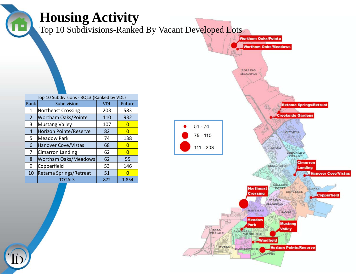| $\blacksquare$       | <b>Housing Activity</b>                    |            |                       | Top 10 Subdivisions-Ranked By Vacant Developed Lots<br><b>Wortham Oaks/Pointe</b><br><b>Wortham Oaks/Meadows</b><br><b>ROLLING</b><br><b>MEADOWS</b>                                                                                                                                                                                                                                      |
|----------------------|--------------------------------------------|------------|-----------------------|-------------------------------------------------------------------------------------------------------------------------------------------------------------------------------------------------------------------------------------------------------------------------------------------------------------------------------------------------------------------------------------------|
|                      | Top 10 Subdivisions - 3Q13 (Ranked by VDL) |            |                       |                                                                                                                                                                                                                                                                                                                                                                                           |
| $\vert$ Rank $\vert$ | Subdivision                                | <b>VDL</b> | Future                | <b>Retama Springs/Retreat</b>                                                                                                                                                                                                                                                                                                                                                             |
| $\mathbf{1}$         | Northeast Crossing                         | 203        | 583                   | <b>Creekside Gardens</b>                                                                                                                                                                                                                                                                                                                                                                  |
| $\overline{2}$<br>3  | <b>Wortham Oaks/Pointe</b>                 | 110<br>107 | 932<br>$\overline{0}$ |                                                                                                                                                                                                                                                                                                                                                                                           |
| 4                    | Mustang Valley<br>Horizon Pointe/Reserve   | 82         | $\overline{0}$        | $51 - 74$                                                                                                                                                                                                                                                                                                                                                                                 |
| 5                    | Meadow Park                                | 74         | 138                   | <b>OLYMPIA</b><br>$75 - 110$                                                                                                                                                                                                                                                                                                                                                              |
| 6                    | Hanover Cove/Vistas                        | 68         | $\overline{0}$        |                                                                                                                                                                                                                                                                                                                                                                                           |
| 7                    | Cimarron Landing                           | 62         | $\overline{0}$        | $111 - 203$<br>FRANZ<br><b>CONONADO</b>                                                                                                                                                                                                                                                                                                                                                   |
| 8                    | Wortham Oaks/Meadows                       | 62         | 55                    | <b>VILLAGE</b>                                                                                                                                                                                                                                                                                                                                                                            |
| 9                    | Copperfield                                | 53         | 146                   | <b>Cimarron</b><br>CRESTVIEW                                                                                                                                                                                                                                                                                                                                                              |
| 10                   | Retama Springs/Retreat                     | 51         | $\overline{0}$        | Landing<br><b>Hanover Cove/Vistas</b>                                                                                                                                                                                                                                                                                                                                                     |
|                      | <b>TOTALS</b>                              | 872        | 1,854                 |                                                                                                                                                                                                                                                                                                                                                                                           |
|                      |                                            |            |                       | <b>MILLER'S</b><br><b>Northeast</b><br>FOINT<br>SALINAS<br><b>CONVERSE</b><br><b>Crossing</b><br><b>Copperfield</b><br><b>SPRING</b><br><b>MEADON'S</b><br>HARTMAN<br><b>ELOL?</b><br><b>Meadow</b><br><b>Mustang</b><br>Park<br>Valley<br>PARK<br>PASCHALL<br>VILLAGE<br><b>NOODLAKE</b><br>Windfield<br>HOPKING<br><b>Horizon Pointe/Reserve</b><br><b>CANDLEWOOD</b><br><b>MASTERS</b> |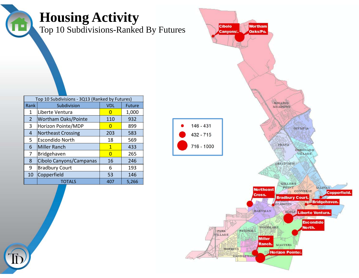| Œ.                   | <b>Housing Activity</b><br>Top 10 Subdivisions-Ranked By Futures |                              |                 | <b>Wortham</b><br><b>Cibolo</b><br>Oaks/Po.<br>Canyons/                                                                                                                                                                                                                                                                                                                                                       |
|----------------------|------------------------------------------------------------------|------------------------------|-----------------|---------------------------------------------------------------------------------------------------------------------------------------------------------------------------------------------------------------------------------------------------------------------------------------------------------------------------------------------------------------------------------------------------------------|
|                      | Top 10 Subdivisions - 3Q13 (Ranked by Futures)                   |                              |                 | ROLLING                                                                                                                                                                                                                                                                                                                                                                                                       |
| Rank<br>$\mathbf{1}$ | Subdivision<br>Liberte Ventura                                   | <b>VDL</b><br>$\overline{0}$ | Future<br>1,000 | <b>MEADOWS</b>                                                                                                                                                                                                                                                                                                                                                                                                |
| $\overline{2}$       | Wortham Oaks/Pointe                                              | 110                          | 932             |                                                                                                                                                                                                                                                                                                                                                                                                               |
| 3                    | Horizon Pointe/MDP                                               | $\overline{0}$               | 899             | $146 - 431$                                                                                                                                                                                                                                                                                                                                                                                                   |
| $\overline{4}$       | Northeast Crossing                                               | 203                          | 583             | <b>OLYMPIA</b><br>$432 - 715$                                                                                                                                                                                                                                                                                                                                                                                 |
| 5                    | Escondido North                                                  | 18                           | 569             |                                                                                                                                                                                                                                                                                                                                                                                                               |
| 6                    | Miller Ranch                                                     | $\mathbf{1}$                 | 433             | FRANZ<br>716 - 1000                                                                                                                                                                                                                                                                                                                                                                                           |
| 7                    | Bridgehaven                                                      | $\overline{0}$               | 265             | <b>CORONADO</b><br>VILLAGE                                                                                                                                                                                                                                                                                                                                                                                    |
| 8                    | Cibolo Canyons/Campanas                                          | 16                           | 246             |                                                                                                                                                                                                                                                                                                                                                                                                               |
| 9                    | <b>Bradbury Court</b>                                            | 6                            | 193             | CRESTVIEW                                                                                                                                                                                                                                                                                                                                                                                                     |
| 10                   | Copperfield                                                      | 53                           | 146             |                                                                                                                                                                                                                                                                                                                                                                                                               |
|                      | <b>TOTALS</b>                                                    | 407                          | 5,266           | <b>MILLER'S</b>                                                                                                                                                                                                                                                                                                                                                                                               |
|                      |                                                                  |                              |                 | <b>SALINAS</b><br>FOINT<br><b>Northeast</b><br><b>CONVERSE</b><br>作る<br><b>Copperfield</b><br>Cross.<br><b>Bradbury Court.</b><br><b>Bridgehaven</b><br><b>NEADOWS</b><br><b>HARTMAN</b><br><b>EXOTE Liberte Ventura.</b><br>$E = \sqrt{2}$<br><b>Escondido</b><br><b>HOODLAKE</b><br>North.<br>PASCHALL<br>PARK<br>VILLAGE<br>Miller<br>Ranch.<br><b>MASTERS</b><br>HOPKINS<br>Horizon Pointe/.<br>CANDLEWOO |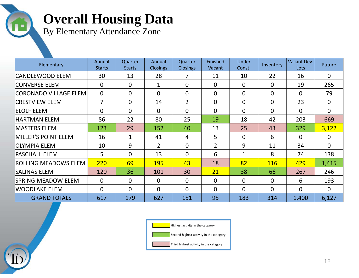#### **Overall Housing Data**

By Elementary Attendance Zone

| Elementary                  | Annual<br><b>Starts</b> | Quarter<br><b>Starts</b> | Annual<br><b>Closings</b> | Quarter<br><b>Closings</b> | Finished<br>Vacant | Under<br>Const. | Inventory      | Vacant Dev.<br>Lots | Future         |
|-----------------------------|-------------------------|--------------------------|---------------------------|----------------------------|--------------------|-----------------|----------------|---------------------|----------------|
| <b>CANDLEWOOD ELEM</b>      | 30                      | 13                       | 28                        |                            | 11                 | 10              | 22             | 16                  | $\Omega$       |
| <b>CONVERSE ELEM</b>        | $\overline{0}$          | $\mathbf 0$              | $\mathbf{1}$              | $\Omega$                   | $\mathbf{0}$       | 0               | $\overline{0}$ | 19                  | 265            |
| CORONADO VILLAGE ELEM       | $\overline{0}$          | $\overline{0}$           | $\mathbf{0}$              | $\Omega$                   | $\Omega$           | 0               | $\overline{0}$ | $\Omega$            | 79             |
| <b>CRESTVIEW ELEM</b>       | $\overline{7}$          | $\overline{0}$           | 14                        | $\overline{2}$             | $\overline{0}$     | 0               | $\overline{0}$ | 23                  | $\Omega$       |
| ELOLF ELEM                  | $\overline{0}$          | $\mathbf 0$              | $\mathbf{0}$              | $\overline{0}$             | $\overline{0}$     | 0               | $\overline{0}$ | $\mathbf{0}$        | $\Omega$       |
| <b>HARTMAN ELEM</b>         | 86                      | 22                       | 80                        | 25                         | 19                 | 18              | 42             | 203                 | 669            |
| MASTERS ELEM                | 123                     | 29                       | 152                       | 40                         | 13                 | 25              | 43             | 329                 | 3,122          |
| MILLER'S POINT ELEM         | 16                      | 1                        | 41                        | $\overline{4}$             | 5                  | 0               | 6              | $\overline{0}$      | $\overline{0}$ |
| OLYMPIA ELEM                | 10                      | 9                        | $\overline{2}$            | $\Omega$                   | $\overline{2}$     | 9               | 11             | 34                  | $\Omega$       |
| <b>PASCHALL ELEM</b>        | 5                       | $\Omega$                 | 13                        | $\Omega$                   | 6                  | 1               | 8              | 74                  | 138            |
| <b>ROLLING MEADOWS ELEM</b> | 220                     | 69                       | <b>195</b>                | 43                         | 18                 | 82              | <b>116</b>     | 429                 | 1,415          |
| <b>SALINAS ELEM</b>         | 120                     | 36                       | 101                       | 30                         | 21                 | 38              | 66             | 267                 | 246            |
| SPRING MEADOW ELEM          | $\overline{0}$          | $\overline{0}$           | $\overline{0}$            | $\overline{0}$             | $\mathbf{0}$       | 0               | $\overline{0}$ | 6                   | 193            |
| WOODLAKE ELEM               | $\Omega$                | $\Omega$                 | $\Omega$                  | $\Omega$                   | $\Omega$           | 0               | $\mathbf{0}$   | $\Omega$            | $\Omega$       |
| <b>GRAND TOTALS</b>         | 617                     | 179                      | 627                       | 151                        | 95                 | 183             | 314            | 1,400               | 6,127          |



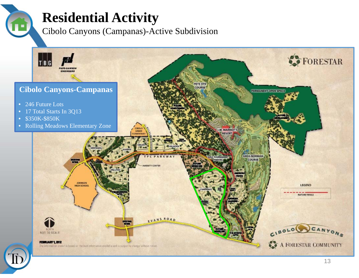### **Residential Activity**

Cibolo Canyons (Campanas)-Active Subdivision



13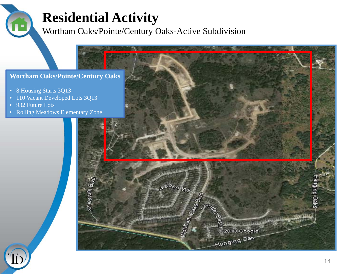### **Residential Activity**

Wortham Oaks/Pointe/Century Oaks-Active Subdivision

#### **Wortham Oaks/Pointe/Century Oaks**

- 8 Housing Starts 3Q13
- 110 Vacant Developed Lots 3Q13
- 932 Future Lots
- Rolling Meadows Elementary Zone



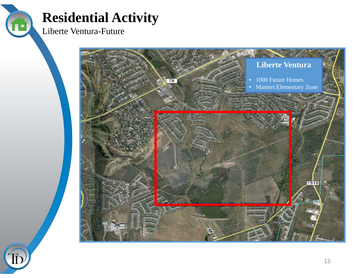#### **Residential Activity**

Liberte Ventura-Future





Ê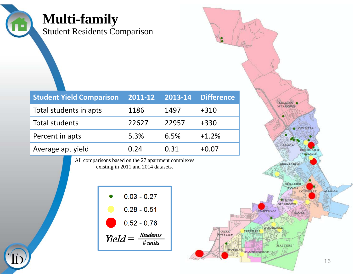| <b>Multi-family</b><br><b>Student Residents Comparison</b> |         |         |                   |                                     |  |  |  |
|------------------------------------------------------------|---------|---------|-------------------|-------------------------------------|--|--|--|
| <b>Student Yield Comparison</b>                            | 2011-12 | 2013-14 | <b>Difference</b> |                                     |  |  |  |
| Total students in apts                                     | 1186    | 1497    | $+310$            | <b>MEADOWS</b>                      |  |  |  |
| <b>Total students</b>                                      | 22627   | 22957   | $+330$            | <b>OLYMPIA</b>                      |  |  |  |
| Percent in apts                                            | 5.3%    | 6.5%    | $+1.2%$           |                                     |  |  |  |
| Average apt yield                                          | 0.24    | 0.31    | $+0.07$           | FRANZ<br><b>CORONAD C</b><br>VALAGI |  |  |  |
| All comparisons based on the 27 apartment complexes        |         |         |                   |                                     |  |  |  |

All comparisons based on the 27 apartment complexes existing in 2011 and 2014 datasets.

|           | $0.03 - 0.27$               |  |
|-----------|-----------------------------|--|
|           | $0.28 - 0.51$               |  |
|           | $0.52 - 0.76$               |  |
| $Yield =$ | $\frac{Students}{\# units}$ |  |

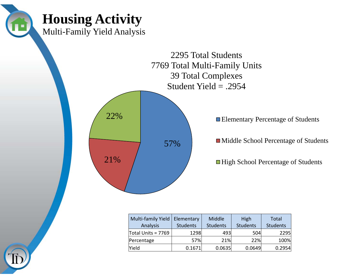

| Multi-family Yield<br>Analysis | Elementary<br><b>Students</b> | Middle<br><b>Students</b> | High<br><b>Students</b> | Total<br><b>Students</b> |
|--------------------------------|-------------------------------|---------------------------|-------------------------|--------------------------|
| Total Units = 7769             | 1298                          | 493                       | 504                     | 2295                     |
| Percentage                     | 57%                           | 21%                       | 22%                     | 100%                     |
| Yield                          | 0.1671                        | 0.0635                    | 0.0649                  | 0.2954                   |

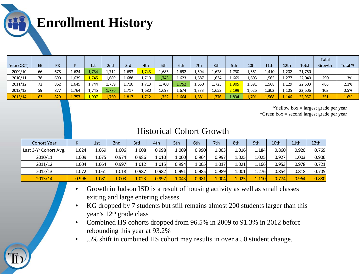**Enrollment History**

| Year (OCT) | EE | <b>PK</b> | N.    | 1st   | 2 <sub>nd</sub> | 3rd   | 4th   | 5th   | 6th   | 7th   | 8th   | 9th   | 10th  | 11th  | 12th  | <b>Totsl</b> | <b>Total</b><br>Growth | Total % |
|------------|----|-----------|-------|-------|-----------------|-------|-------|-------|-------|-------|-------|-------|-------|-------|-------|--------------|------------------------|---------|
| 2009/10    | 66 | 678       | 1,624 | 1,734 | 1,712           | 1,693 | 1,743 | 1,683 | 1,692 | 1,594 | 1,628 | 1,730 | 1,561 | 1,410 | 1,202 | 21,750       |                        |         |
| 2010/11    | 78 | 690       | 1,639 | 1,745 | .,689           | 1,688 | 1,710 | 1,743 | 1,623 | 1,687 | 1,634 | 1,669 | 1,603 | 1,565 | 1,277 | 22,040       | 290                    | 1.3%    |
| 2011/12    | 72 | 862       | 1,645 | 1,744 | .,739           | 1,710 | 1,713 | 1,700 | 1,752 | 1,650 | 1,723 | 1,905 | 1,591 | 1,568 | 1,129 | 22,503       | 463                    | 2.1%    |
| 2012/13    | 59 | 877       | 1,764 | 1,745 | 776             | 1,717 | 1,680 | 1,697 | 1,674 | ,733  | 1,652 | 2,199 | 1,626 | 1,302 | .105  | 22,606       | 103                    | 0.5%    |
| 2013/14    | 63 | 829       | 1,757 | 1,907 | 1,750           | 1,817 | ,712  | 752   | 1,664 | 1,681 | 1,776 | 1,834 | 1,701 | 1,568 | .146  | 22,957       | 351                    | 1.6%    |

\*Yellow box = largest grade per year \*Green box = second largest grade per year

| <b>Cohort Year</b>    |       | 1st          | 2nd   | 3rd   | 4th   | 5th   | 6th   | 7th   | 8th   | 9th   | 10th  | 11 <sub>th</sub> | 12 <sub>th</sub> |
|-----------------------|-------|--------------|-------|-------|-------|-------|-------|-------|-------|-------|-------|------------------|------------------|
| Last 3-Yr Cohort Avg. | 1.024 | 0691         | 1.006 | 1.008 | 0.998 | 1.009 | 0.990 | 1.003 | 1.016 | 1.184 | 0.860 | 0.920            | 0.769            |
| 2010/11               | l.009 | <b>L.075</b> | 0.974 | 0.986 | 1.010 | 1.000 | 0.964 | 0.997 | 1.025 | 1.025 | 0.927 | 1.003            | 0.906            |
| 2011/12               | 1.004 | 0641         | 0.997 | 1.012 | 1.015 | 0.994 | 1.005 | 1.017 | 1.021 | 1.166 | 0.953 | 0.978            | 0.721            |
| 2012/13               | 1.072 | .061         | 1.018 | 0.987 | 0.982 | 0.991 | 0.985 | 0.989 | 1.001 | 1.276 | 0.854 | 0.818            | 0.705            |
| 2013/14               | 0.996 | 1.081        | 1.003 | 1.023 | 0.997 | 1.043 | 0.981 | 1.004 | 1.025 | 1.110 | 0.774 | 0.964            | 0.880            |

- • Growth in Judson ISD is a result of housing activity as well as small classes exiting and large entering classes.
- • KG dropped by 7 students but still remains almost 200 students larger than this year's 12th grade class
- • Combined HS cohorts dropped from 96.5% in 2009 to 91.3% in 2012 before rebounding this year at 93.2%
- •.5% shift in combined HS cohort may results in over a 50 student change.

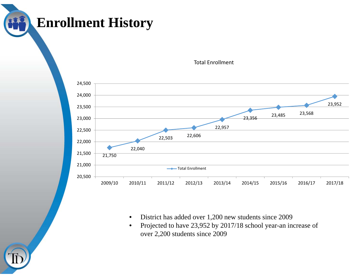### **Enrollment History**



Total Enrollment

- $\bullet$ District has added over 1,200 new students since 2009
- $\bullet$  Projected to have 23,952 by 2017/18 school year-an increase of over 2,200 students since 2009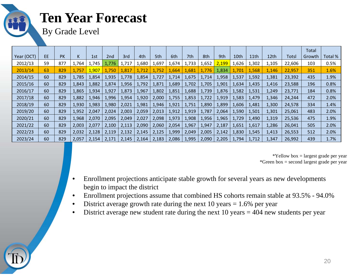#### **Ten Year Forecast**

By Grade Level

|            |    |           |       |       |                 |       |       |       |       |       |       |       |       |       |       |              | Total  |         |
|------------|----|-----------|-------|-------|-----------------|-------|-------|-------|-------|-------|-------|-------|-------|-------|-------|--------------|--------|---------|
| Year (OCT) | EE | <b>PK</b> | K.    | 1st   | 2 <sub>nd</sub> | 3rd   | 4th   | 5th   | 6th   | 7th   | 8th   | 9th   | 10th  | 11th  | 12th  | <b>Totsl</b> | Growth | Total % |
| 2012/13    | 59 | 877       | 1,764 | 1,745 | 1,776           | 1,717 | 1,680 | 1,697 | 1,674 | 1,733 | 1,652 | 2,199 | ,626  | 1,302 | 1,105 | 22,606       | 103    | 0.5%    |
| 2013/14    | 63 | 829       | 1,757 | 1,907 | 1,750           | 1,817 | 1,712 | 1,752 | 1,664 | 1,681 | 1,776 | 1,834 | 1,701 | 1,568 | 1,146 | 22,957       | 351    | 1.6%    |
| 2014/15    | 60 | 829       | 1,785 | 1,854 | 1,935           | 1,778 | 1,854 | 1,727 | 1,714 | 1,675 | 1,714 | 1,958 | 1,537 | 1,592 | 1,381 | 23,392       | 435    | 1.9%    |
| 2015/16    | 60 | 829       | 1,843 | 1,882 | 1,874           | 1,956 | 1,792 | 1,871 | 1,689 | 1,702 | 1,705 | 1,901 | 1,634 | 1,435 | 1,416 | 23,588       | 196    | 0.8%    |
| 2016/17    | 60 | 829       | 1,865 | 1,934 | 1,927           | 1,873 | 1,967 | 1,802 | 1,851 | 1,688 | 1,739 | 1,876 | 1,582 | 1,531 | 1,249 | 23,771       | 184    | 0.8%    |
| 2017/18    | 60 | 829       | 1,882 | 1,946 | 1,996           | 1,954 | 1,920 | 2,000 | 1,755 | 1,853 | 1,722 | 1,919 | 1,583 | 1,479 | 1,346 | 24,244       | 472    | 2.0%    |
| 2018/19    | 60 | 829       | 1,930 | 1,983 | 1,980           | 2,021 | 1,981 | 1,946 | 1,921 | 1,751 | 1,890 | 1,899 | 1,606 | 1,481 | 1,300 | 24,578       | 334    | 1.4%    |
| 2019/20    | 60 | 829       | 1,952 | 2,047 | 2,024           | 2,003 | 2,059 | 2,013 | 1,912 | 1,919 | 1,787 | 2,064 | 1,590 | 1,501 | 1,301 | 25,061       | 483    | 2.0%    |
| 2020/21    | 60 | 829       | 1,968 | 2,070 | 2,095           | 2,049 | 2,027 | 2,098 | 1,973 | 1,908 | 1,956 | 1,965 | 1,729 | 1,490 | 1,319 | 25,536       | 475    | 1.9%    |
| 2021/22    | 60 | 829       | 2,003 | 2,077 | 2,100           | 2,113 | 2,090 | 2,060 | 2,054 | 1,967 | 1,947 | 2,187 | 1,651 | 1,617 | 1,286 | 26,041       | 505    | 2.0%    |
| 2022/23    | 60 | 829       | 2,032 | 2,128 | 2,119           | 2,132 | 2,145 | 2,125 | 1,999 | 2,049 | 2,005 | 2,142 | 1,830 | 1,545 | 1,413 | 26,553       | 512    | 2.0%    |
| 2023/24    | 60 | 829       | 2,057 | 2,154 | 2,171           | 2,145 | 2,164 | 2,183 | 2,086 | 1,995 | 2,090 | 2,205 | 1,794 | 1,712 | 1,347 | 26,992       | 439    | 1.7%    |

\*Yellow box = largest grade per year \*Green box = second largest grade per year

- $\bullet$  Enrollment projections anticipate stable growth for several years as new developments begin to impact the district
- •Enrollment projections assume that combined HS cohorts remain stable at 93.5% - 94.0%
- $\bullet$ District average growth rate during the next 10 years  $= 1.6\%$  per year
- •District average new student rate during the next 10 years = 404 new students per year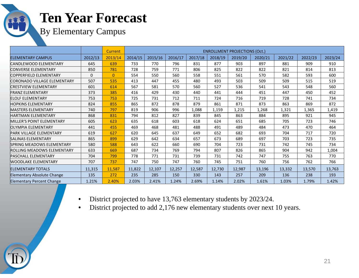#### **Ten Year Forecast**

By Elementary Campus

|                                   |              | <b>Current</b> | <b>ENROLLMENT PROJECTIONS (Oct.)</b> |         |         |         |         |         |         |         |         |         |
|-----------------------------------|--------------|----------------|--------------------------------------|---------|---------|---------|---------|---------|---------|---------|---------|---------|
| <b>ELEMENTARY CAMPUS</b>          | 2012/13      | 2013/14        | 2014/15                              | 2015/16 | 2016/17 | 2017/18 | 2018/19 | 2019/20 | 2020/21 | 2021/22 | 2022/23 | 2023/24 |
| CANDLEWOOD ELEMENTARY             | 645          | 639            | 733                                  | 770     | 796     | 831     | 877     | 903     | 897     | 881     | 909     | 910     |
| <b>CONVERSE ELEMENTARY</b>        | 850          | 781            | 728                                  | 759     | 771     | 806     | 825     | 822     | 822     | 821     | 814     | 813     |
| <b>COPPERFIELD ELEMENTARY</b>     | $\mathbf{0}$ | $\overline{0}$ | 554                                  | 550     | 560     | 558     | 551     | 561     | 570     | 582     | 593     | 600     |
| CORONADO VILLAGE ELEMENTARY       | 507          | 535            | 413                                  | 447     | 455     | 480     | 493     | 503     | 509     | 509     | 515     | 519     |
| <b>CRESTVIEW ELEMENTARY</b>       | 601          | 614            | 567                                  | 581     | 570     | 560     | 527     | 536     | 541     | 543     | 548     | 560     |
| <b>FRANZ ELEMENTARY</b>           | 373          | 385            | 416                                  | 429     | 430     | 440     | 441     | 444     | 451     | 447     | 450     | 452     |
| <b>FLOLF FLFMENTARY</b>           | 753          | 753            | 725                                  | 731     | 712     | 711     | 724     | 716     | 719     | 728     | 741     | 734     |
| <b>HOPKINS ELEMENTARY</b>         | 824          | 855            | 865                                  | 872     | 878     | 879     | 861     | 871     | 873     | 863     | 869     | 872     |
| <b>MASTERS ELEMENTARY</b>         | 740          | 797            | 819                                  | 906     | 996     | 1,088   | 1,159   | 1,215   | 1,268   | 1,321   | 1,365   | 1,419   |
| HARTMAN ELEMENTARY                | 868          | 831            | 794                                  | 812     | 827     | 839     | 845     | 863     | 884     | 895     | 921     | 945     |
| MILLER'S POINT ELEMENTARY         | 605          | 623            | 635                                  | 618     | 603     | 618     | 624     | 651     | 685     | 705     | 723     | 746     |
| OLYMPIA ELEMENTARY                | 441          | 455            | 469                                  | 468     | 481     | 488     | 491     | 489     | 484     | 473     | 470     | 464     |
| PARK VILLAGE ELEMENTARY           | 619          | 627            | 620                                  | 645     | 637     | 649     | 652     | 682     | 693     | 704     | 717     | 720     |
| <b>SALINAS ELEMENTARY</b>         | 865          | 899            | 629                                  | 642     | 634     | 657     | 673     | 689     | 697     | 703     | 723     | 735     |
| SPRING MEADOWS ELEMENTARY         | 580          | 588            | 643                                  | 622     | 660     | 690     | 704     | 723     | 731     | 742     | 745     | 734     |
| ROLLING MEADOWS ELEMENTARY        | 633          | 669            | 687                                  | 734     | 769     | 794     | 807     | 826     | 865     | 904     | 942     | 1,004   |
| lPASCHALL ELEMENTARY              | 704          | 799            | 778                                  | 771     | 731     | 739     | 731     | 742     | 747     | 755     | 763     | 770     |
| <b>WOODLAKE ELEMENTARY</b>        | 707          | 737            | 747                                  | 750     | 747     | 760     | 745     | 751     | 760     | 756     | 762     | 766     |
| <b>ELEMENTARY TOTALS</b>          | 11,315       | 11,587         | 11,822                               | 12,107  | 12,257  | 12,587  | 12,730  | 12,987  | 13,196  | 13,332  | 13,570  | 13,763  |
| <b>Elementary Absolute Change</b> | 135          | 272            | 235                                  | 285     | 150     | 330     | 143     | 257     | 209     | 136     | 238     | 193     |
| <b>Elementary Percent Change</b>  | 1.21%        | 2.40%          | 2.03%                                | 2.41%   | 1.24%   | 2.69%   | 1.14%   | 2.02%   | 1.61%   | 1.03%   | 1.79%   | 1.42%   |

- $\bullet$ District projected to have 13,763 elementary students by 2023/24.
- $\bullet$ District projected to add 2,176 new elementary students over next 10 years.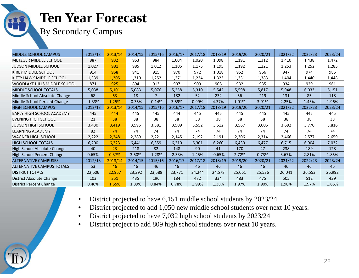#### **Ten Year Forecast**

By Secondary Campus

| <b>MIDDLE SCHOOL CAMPUS</b>       | 2012/13  | 2013/14 | 2014/15  | 2015/16  | 2016/17  | 2017/18 | 2018/19  | 2019/20 | 2020/21 | 2021/22 | 2022/23 | 2023/24 |
|-----------------------------------|----------|---------|----------|----------|----------|---------|----------|---------|---------|---------|---------|---------|
| IMETZGER MIDDLE SCHOOL            | 887      | 932     | 953      | 984      | 1,004    | 1,020   | 1,098    | 1,191   | 1,312   | 1,410   | 1,438   | 1,472   |
| <b>JUDSON MIDDLE SCHOOL</b>       | 1,027    | 981     | 985      | 1,012    | 1,106    | 1,175   | 1,195    | 1,192   | 1,221   | 1,253   | 1,252   | 1,285   |
| KIRBY MIDDLE SCHOOL               | 914      | 958     | 941      | 915      | 970      | 972     | 1,018    | 952     | 966     | 947     | 974     | 985     |
| KITTY HAWK MIDDLE SCHOOL          | 1,339    | 1,305   | 1,310    | 1,252    | 1,271    | 1,234   | 1,323    | 1,331   | 1,383   | 1,404   | 1,440   | 1,448   |
| WOODLAKE HILLS MIDDLE SCHOOL      | 871      | 925     | 894      | 913      | 907      | 909     | 908      | 932     | 935     | 934     | 929     | 961     |
| <b>MIDDLE SCHOOL TOTALS</b>       | 5,038    | 5,101   | 5,083    | 5,076    | 5,258    | 5,310   | 5,542    | 5,598   | 5,817   | 5,948   | 6,033   | 6,151   |
| Middle School Absolute Change     | 68       | 63      | 18       | 7        | 182      | 52      | 232      | 56      | 219     | 131     | 85      | 118     |
| Middle School Percent Change      | $-1.33%$ | 1.25%   | $-0.35%$ | $-0.14%$ | 3.59%    | 0.99%   | 4.37%    | 1.01%   | 3.91%   | 2.25%   | 1.43%   | 1.96%   |
| <b>HIGH SCHOOL CAMPUS</b>         | 2012/13  | 2013/14 | 2014/15  | 2015/16  | 2016/17  | 2017/18 | 2018/19  | 2019/20 | 2020/21 | 2021/22 | 2022/23 | 2023/24 |
| <b>IEARLY HIGH SCHOOL ACADEMY</b> | 445      | 444     | 445      | 445      | 444      | 445     | 445      | 445     | 445     | 445     | 445     | 445     |
| EVENING HIGH SCHOOL               | 21       | 38      | 38       | 38       | 38       | 38      | 38       | 38      | 38      | 38      | 38      | 38      |
| <b>JUDSON HIGH SCHOOL</b>         | 3,430    | 3,419   | 3,595    | 3,581    | 3,509    | 3,552   | 3,512    | 3,567   | 3,606   | 3,692   | 3,770   | 3,816   |
| LEARNING ACADEMY                  | 82       | 74      | 74       | 74       | 74       | 74      | 74       | 74      | 74      | 74      | 74      | 74      |
| lWAGNER HIGH SCHOOL               | 2,222    | 2,248   | 2,289    | 2,221    | 2,145    | 2,192   | 2,191    | 2,306   | 2,314   | 2,466   | 2,577   | 2,659   |
| HIGH SCHOOL TOTALS                | 6,200    | 6,223   | 6,441    | 6,359    | 6,210    | 6,301   | 6,260    | 6,430   | 6,477   | 6,715   | 6,904   | 7,032   |
| High School Absolute Change       | 40       | 23      | 218      | 82       | 148      | 90      | 41       | 170     | 47      | 238     | 189     | 128     |
| High School Percent Change        | 0.65%    | 0.37%   | 3.50%    | $-1.28%$ | $-2.33%$ | 1.45%   | $-0.65%$ | 2.72%   | 0.73%   | 3.67%   | 2.81%   | 1.85%   |
| <b>ALTERNATIVE CAMPUSES</b>       | 2012/13  | 2013/14 | 2014/15  | 2015/16  | 2016/17  | 2017/18 | 2018/19  | 2019/20 | 2020/21 | 2021/22 | 2022/23 | 2023/24 |
| <b>ALTERNATIVE CAMPUS TOTALS</b>  | 53       | 46      | 46       | 46       | 46       | 46      | 46       | 46      | 46      | 46      | 46      | 46      |
| <b>DISTRICT TOTALS</b>            | 22,606   | 22,957  | 23,392   | 23,588   | 23,771   | 24,244  | 24,578   | 25,061  | 25,536  | 26,041  | 26,553  | 26,992  |
| District Absolute Change          | 103      | 351     | 435      | 196      | 184      | 472     | 334      | 483     | 475     | 505     | 512     | 439     |
| District Percent Change           | 0.46%    | 1.55%   | 1.89%    | 0.84%    | 0.78%    | 1.99%   | 1.38%    | 1.97%   | 1.90%   | 1.98%   | 1.97%   | 1.65%   |

- •District projected to have 6,151 middle school students by 2023/24.
- $\bullet$ District projected to add 1,050 new middle school students over next 10 years.
- •District projected to have 7,032 high school students by 2023/24
- •District project to add 809 high school students over next 10 years.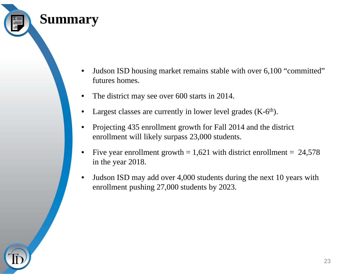

- • Judson ISD housing market remains stable with over 6,100 "committed" futures homes.
- •The district may see over 600 starts in 2014.
- •Largest classes are currently in lower level grades  $(K-6<sup>th</sup>)$ .
- • Projecting 435 enrollment growth for Fall 2014 and the district enrollment will likely surpass 23,000 students.
- •Five year enrollment growth  $= 1,621$  with district enrollment  $= 24,578$ in the year 2018.
- $\bullet$  Judson ISD may add over 4,000 students during the next 10 years with enrollment pushing 27,000 students by 2023.